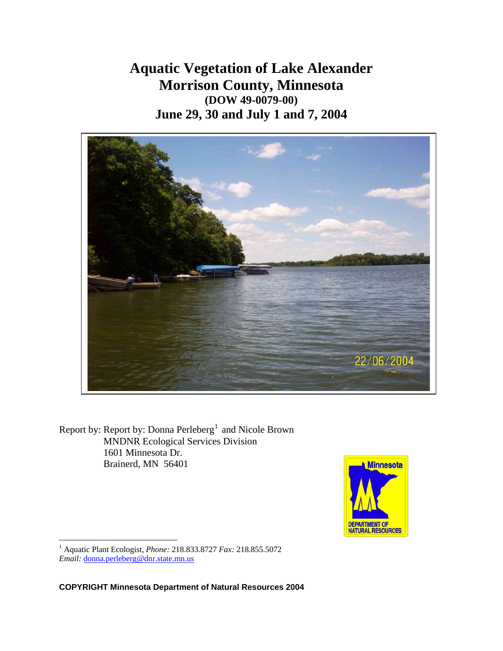**Aquatic Vegetation of Lake Alexander Morrison County, Minnesota (DOW 49-0079-00) June 29, 30 and July 1 and 7, 2004** 



Report by: Report by: Donna  $Perleberg<sup>1</sup>$  $Perleberg<sup>1</sup>$  $Perleberg<sup>1</sup>$  and Nicole Brown MNDNR Ecological Services Division 1601 Minnesota Dr. Brainerd, MN 56401



<span id="page-0-0"></span>1 Aquatic Plant Ecologist, *Phone:* 218.833.8727 *Fax:* 218.855.5072 *Email:* [donna.perleberg@dnr.state.mn.us](mailto:donna.perleberg@dnr.state.mn.us)

 $\overline{a}$ 

**COPYRIGHT Minnesota Department of Natural Resources 2004**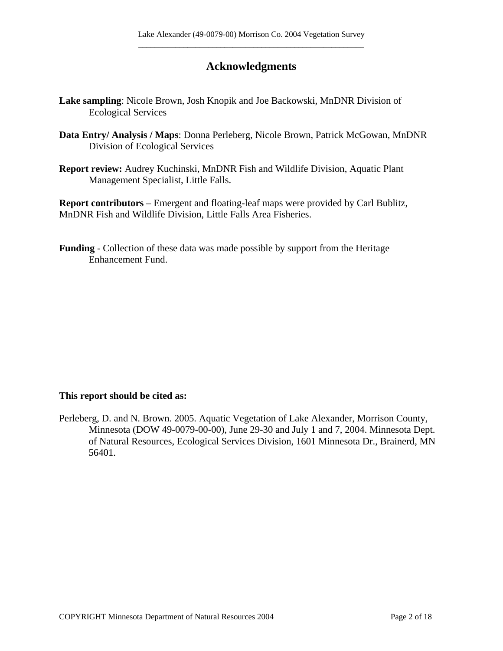# **Acknowledgments**

- **Lake sampling**: Nicole Brown, Josh Knopik and Joe Backowski, MnDNR Division of Ecological Services
- **Data Entry/ Analysis / Maps**: Donna Perleberg, Nicole Brown, Patrick McGowan, MnDNR Division of Ecological Services
- **Report review:** Audrey Kuchinski, MnDNR Fish and Wildlife Division, Aquatic Plant Management Specialist, Little Falls.

**Report contributors** – Emergent and floating-leaf maps were provided by Carl Bublitz, MnDNR Fish and Wildlife Division, Little Falls Area Fisheries.

**Funding** - Collection of these data was made possible by support from the Heritage Enhancement Fund.

#### **This report should be cited as:**

Perleberg, D. and N. Brown. 2005. Aquatic Vegetation of Lake Alexander, Morrison County, Minnesota (DOW 49-0079-00-00), June 29-30 and July 1 and 7, 2004. Minnesota Dept. of Natural Resources, Ecological Services Division, 1601 Minnesota Dr., Brainerd, MN 56401.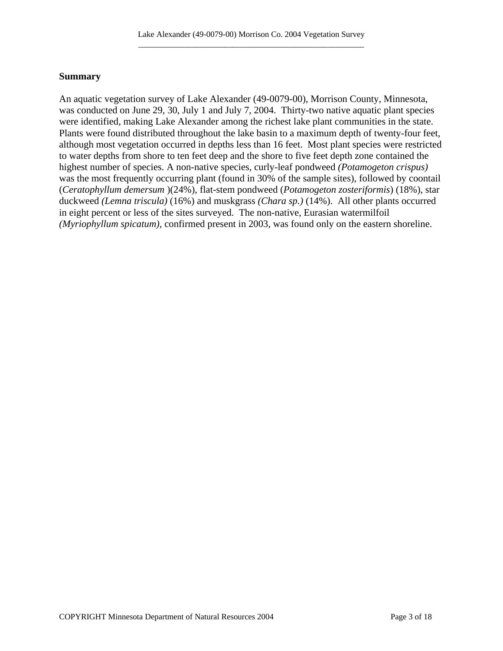## **Summary**

An aquatic vegetation survey of Lake Alexander (49-0079-00), Morrison County, Minnesota, was conducted on June 29, 30, July 1 and July 7, 2004. Thirty-two native aquatic plant species were identified, making Lake Alexander among the richest lake plant communities in the state. Plants were found distributed throughout the lake basin to a maximum depth of twenty-four feet, although most vegetation occurred in depths less than 16 feet. Most plant species were restricted to water depths from shore to ten feet deep and the shore to five feet depth zone contained the highest number of species. A non-native species, curly-leaf pondweed *(Potamogeton crispus)* was the most frequently occurring plant (found in 30% of the sample sites), followed by coontail (*Ceratophyllum demersum* )(24%), flat-stem pondweed (*Potamogeton zosteriformis*) (18%), star duckweed *(Lemna triscula)* (16%) and muskgrass *(Chara sp.)* (14%). All other plants occurred in eight percent or less of the sites surveyed. The non-native, Eurasian watermilfoil *(Myriophyllum spicatum)*, confirmed present in 2003, was found only on the eastern shoreline.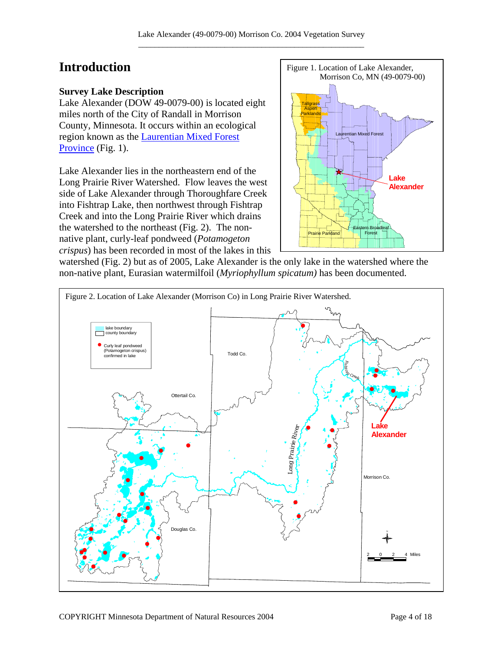# **Introduction**

# **Survey Lake Description**

Lake Alexander (DOW 49-0079-00) is located eight miles north of the City of Randall in Morrison County, Minnesota. It occurs within an ecological region known as the [Laurentian Mixed Forest](http://www.dnr.state.mn.us/ecs/laurentian/index.html)  [Province](http://www.dnr.state.mn.us/ecs/laurentian/index.html) (Fig. 1).

Lake Alexander lies in the northeastern end of the Long Prairie River Watershed. Flow leaves the west side of Lake Alexander through Thoroughfare Creek into Fishtrap Lake, then northwest through Fishtrap Creek and into the Long Prairie River which drains the watershed to the northeast (Fig. 2). The nonnative plant, curly-leaf pondweed (*Potamogeton crispus*) has been recorded in most of the lakes in this



watershed (Fig. 2) but as of 2005, Lake Alexander is the only lake in the watershed where the non-native plant, Eurasian watermilfoil (*Myriophyllum spicatum)* has been documented.

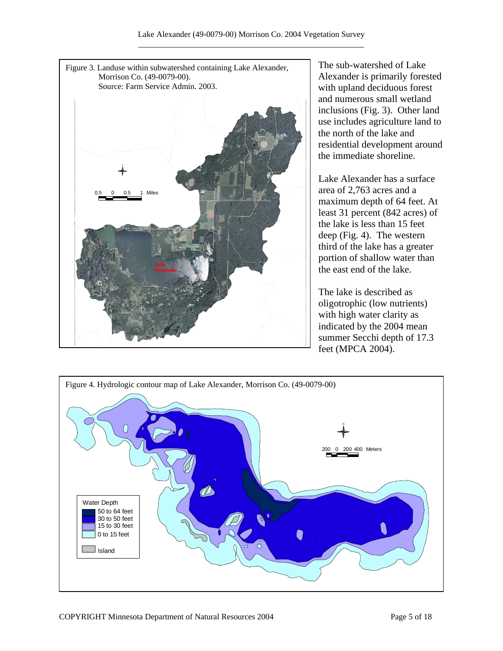

The sub-watershed of Lake Alexander is primarily forested with upland deciduous forest and numerous small wetland inclusions (Fig. 3). Other land use includes agriculture land to the north of the lake and residential development around the immediate shoreline.

Lake Alexander has a surface area of 2,763 acres and a maximum depth of 64 feet. At least 31 percent (842 acres) of the lake is less than 15 feet deep (Fig. 4). The western third of the lake has a greater portion of shallow water than the east end of the lake.

The lake is described as oligotrophic (low nutrients) with high water clarity as indicated by the 2004 mean summer Secchi depth of 17.3 feet (MPCA 2004).

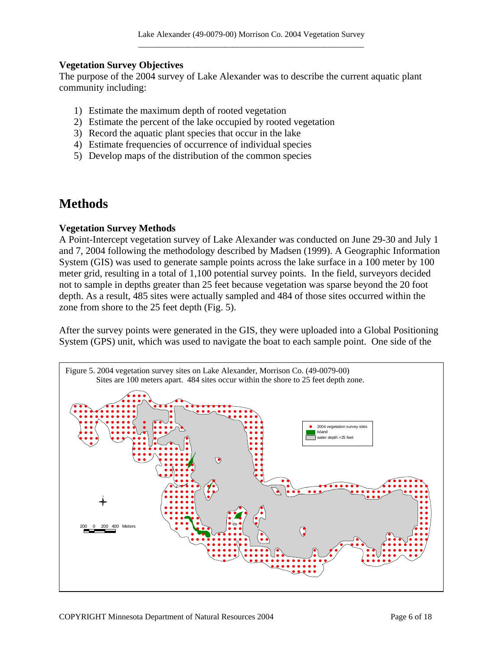#### **Vegetation Survey Objectives**

The purpose of the 2004 survey of Lake Alexander was to describe the current aquatic plant community including:

- 1) Estimate the maximum depth of rooted vegetation
- 2) Estimate the percent of the lake occupied by rooted vegetation
- 3) Record the aquatic plant species that occur in the lake
- 4) Estimate frequencies of occurrence of individual species
- 5) Develop maps of the distribution of the common species

# **Methods**

#### **Vegetation Survey Methods**

A Point-Intercept vegetation survey of Lake Alexander was conducted on June 29-30 and July 1 and 7, 2004 following the methodology described by Madsen (1999). A Geographic Information System (GIS) was used to generate sample points across the lake surface in a 100 meter by 100 meter grid, resulting in a total of 1,100 potential survey points. In the field, surveyors decided not to sample in depths greater than 25 feet because vegetation was sparse beyond the 20 foot depth. As a result, 485 sites were actually sampled and 484 of those sites occurred within the zone from shore to the 25 feet depth (Fig. 5).

After the survey points were generated in the GIS, they were uploaded into a Global Positioning System (GPS) unit, which was used to navigate the boat to each sample point. One side of the

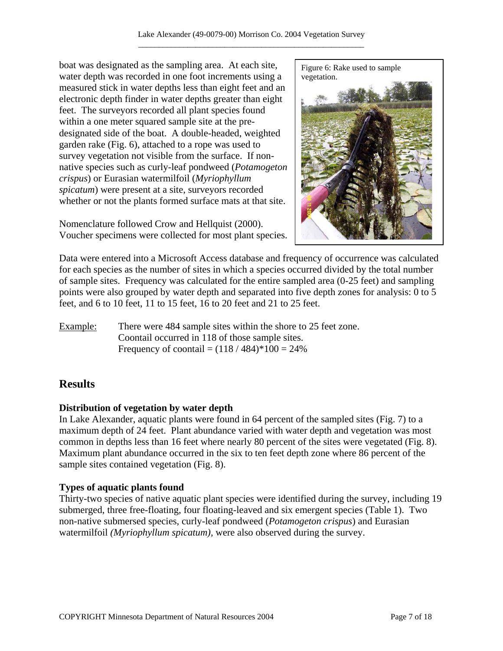boat was designated as the sampling area. At each site, water depth was recorded in one foot increments using a measured stick in water depths less than eight feet and an electronic depth finder in water depths greater than eight feet. The surveyors recorded all plant species found within a one meter squared sample site at the predesignated side of the boat. A double-headed, weighted garden rake (Fig. 6), attached to a rope was used to survey vegetation not visible from the surface. If nonnative species such as curly-leaf pondweed (*Potamogeton crispus*) or Eurasian watermilfoil (*Myriophyllum spicatum*) were present at a site, surveyors recorded whether or not the plants formed surface mats at that site.

Nomenclature followed Crow and Hellquist (2000). Voucher specimens were collected for most plant species.



Data were entered into a Microsoft Access database and frequency of occurrence was calculated for each species as the number of sites in which a species occurred divided by the total number of sample sites. Frequency was calculated for the entire sampled area (0-25 feet) and sampling points were also grouped by water depth and separated into five depth zones for analysis: 0 to 5 feet, and 6 to 10 feet, 11 to 15 feet, 16 to 20 feet and 21 to 25 feet.

Example: There were 484 sample sites within the shore to 25 feet zone. Coontail occurred in 118 of those sample sites. Frequency of coontail =  $(118 / 484) * 100 = 24\%$ 

# **Results**

# **Distribution of vegetation by water depth**

In Lake Alexander, aquatic plants were found in 64 percent of the sampled sites (Fig. 7) to a maximum depth of 24 feet. Plant abundance varied with water depth and vegetation was most common in depths less than 16 feet where nearly 80 percent of the sites were vegetated (Fig. 8). Maximum plant abundance occurred in the six to ten feet depth zone where 86 percent of the sample sites contained vegetation (Fig. 8).

# **Types of aquatic plants found**

Thirty-two species of native aquatic plant species were identified during the survey, including 19 submerged, three free-floating, four floating-leaved and six emergent species (Table 1). Two non-native submersed species, curly-leaf pondweed (*Potamogeton crispus*) and Eurasian watermilfoil *(Myriophyllum spicatum)*, were also observed during the survey.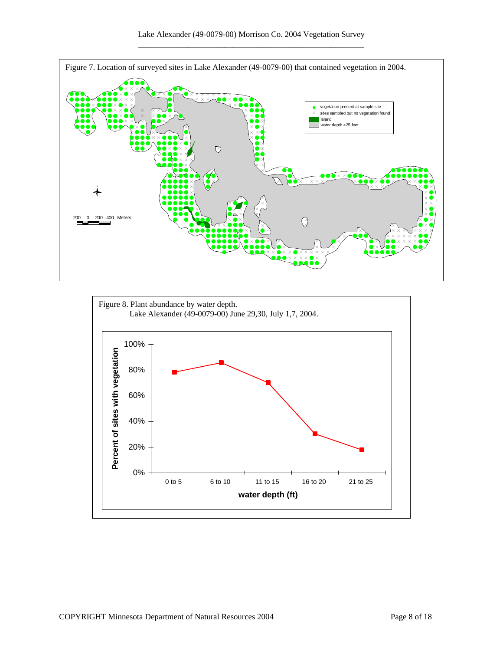

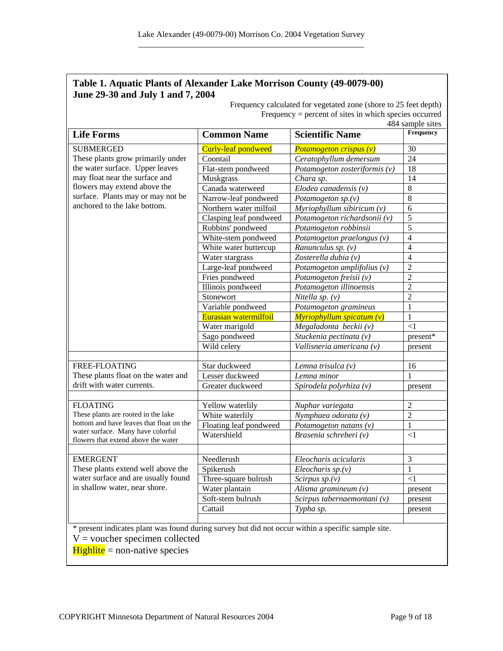# **Table 1. Aquatic Plants of Alexander Lake Morrison County (49-0079-00) June 29-30 and July 1 and 7, 2004**

Frequency calculated for vegetated zone (shore to 25 feet depth) Frequency = percent of sites in which species occurred

| 484 sample sites                                                                                                                                                                                                                |                        |                               |                |
|---------------------------------------------------------------------------------------------------------------------------------------------------------------------------------------------------------------------------------|------------------------|-------------------------------|----------------|
| <b>Life Forms</b>                                                                                                                                                                                                               | <b>Common Name</b>     | <b>Scientific Name</b>        | Frequency      |
| <b>SUBMERGED</b><br>These plants grow primarily under<br>the water surface. Upper leaves<br>may float near the surface and<br>flowers may extend above the<br>surface. Plants may or may not be<br>anchored to the lake bottom. | Curly-leaf pondweed    | Potamogeton crispus (v)       | 30             |
|                                                                                                                                                                                                                                 | Coontail               | Ceratophyllum demersum        | 24             |
|                                                                                                                                                                                                                                 | Flat-stem pondweed     | Potamogeton zosteriformis (v) | 18             |
|                                                                                                                                                                                                                                 | Muskgrass              | Chara sp.                     | 14             |
|                                                                                                                                                                                                                                 | Canada waterweed       | Elodea canadensis $(v)$       | $\overline{8}$ |
|                                                                                                                                                                                                                                 | Narrow-leaf pondweed   | Potamogeton $sp.(v)$          | $\overline{8}$ |
|                                                                                                                                                                                                                                 | Northern water milfoil | Myriophyllum sibiricum $(v)$  | 6              |
|                                                                                                                                                                                                                                 | Clasping leaf pondweed | Potamogeton richardsonii (v)  | $\overline{5}$ |
|                                                                                                                                                                                                                                 | Robbins' pondweed      | Potamogeton robbinsii         | $\overline{5}$ |
|                                                                                                                                                                                                                                 | White-stem pondweed    | Potamogeton praelongus (v)    | $\overline{4}$ |
|                                                                                                                                                                                                                                 | White water buttercup  | Ranunculus sp. (v)            | $\overline{4}$ |
|                                                                                                                                                                                                                                 | Water stargrass        | Zosterella dubia (v)          | $\overline{4}$ |
|                                                                                                                                                                                                                                 | Large-leaf pondweed    | Potamogeton amplifolius (v)   | $\overline{c}$ |
|                                                                                                                                                                                                                                 | Fries pondweed         | Potamogeton freisii (v)       | $\overline{2}$ |
|                                                                                                                                                                                                                                 | Illinois pondweed      | Potamogeton illinoensis       | $\overline{c}$ |
|                                                                                                                                                                                                                                 | Stonewort              | Nitella sp. $(v)$             | $\overline{2}$ |
|                                                                                                                                                                                                                                 | Variable pondweed      | Potamogeton gramineus         | $\mathbf{1}$   |
|                                                                                                                                                                                                                                 | Eurasian watermilfoil  | Myriophyllum spicatum (v)     | $\mathbf{1}$   |
|                                                                                                                                                                                                                                 | Water marigold         | Megaladonta beckii (v)        | $\leq$ 1       |
|                                                                                                                                                                                                                                 | Sago pondweed          | Stuckenia pectinata (v)       | present*       |
|                                                                                                                                                                                                                                 | Wild celery            | Vallisneria americana (v)     | present        |
|                                                                                                                                                                                                                                 |                        |                               |                |
| FREE-FLOATING                                                                                                                                                                                                                   | Star duckweed          | Lemna trisulca (v)            | 16             |
| These plants float on the water and                                                                                                                                                                                             | Lesser duckweed        | Lemna minor                   | 1              |
| drift with water currents.                                                                                                                                                                                                      | Greater duckweed       | Spirodela polyrhiza (v)       | present        |
|                                                                                                                                                                                                                                 |                        |                               |                |
| <b>FLOATING</b>                                                                                                                                                                                                                 | Yellow waterlily       | Nuphar variegata              | $\overline{2}$ |
| These plants are rooted in the lake                                                                                                                                                                                             | White waterlily        | Nymphaea odorata (v)          | $\overline{2}$ |
| bottom and have leaves that float on the                                                                                                                                                                                        | Floating leaf pondweed | Potamogeton natans (v)        | $\mathbf{1}$   |
| water surface. Many have colorful                                                                                                                                                                                               | Watershield            | Brasenia schreberi (v)        | $\leq$ 1       |
| flowers that extend above the water                                                                                                                                                                                             |                        |                               |                |
|                                                                                                                                                                                                                                 |                        |                               |                |
| <b>EMERGENT</b><br>These plants extend well above the<br>water surface and are usually found<br>in shallow water, near shore.                                                                                                   | Needlerush             | Eleocharis acicularis         | $\overline{3}$ |
|                                                                                                                                                                                                                                 | Spikerush              | Eleocharis $sp.(v)$           | 1              |
|                                                                                                                                                                                                                                 | Three-square bulrush   | Scirpus $sp.(v)$              | $<$ 1          |
|                                                                                                                                                                                                                                 | Water plantain         | Alisma gramineum $(v)$        | present        |
|                                                                                                                                                                                                                                 | Soft-stem bulrush      | Scirpus tabernaemontani (v)   | present        |
|                                                                                                                                                                                                                                 | Cattail                | Typha sp.                     | present        |
|                                                                                                                                                                                                                                 |                        |                               |                |
| * present indicates plant was found during survey but did not occur within a specific sample site.                                                                                                                              |                        |                               |                |
| $V =$ voucher specimen collected                                                                                                                                                                                                |                        |                               |                |

 $Highte$  = non-native species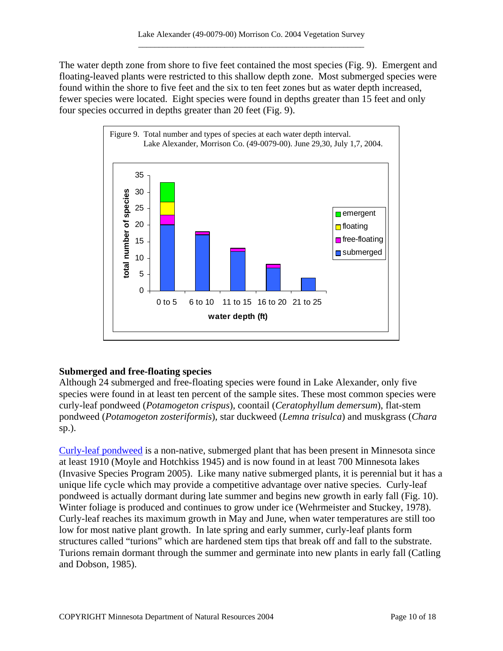The water depth zone from shore to five feet contained the most species (Fig. 9). Emergent and floating-leaved plants were restricted to this shallow depth zone. Most submerged species were found within the shore to five feet and the six to ten feet zones but as water depth increased, fewer species were located. Eight species were found in depths greater than 15 feet and only four species occurred in depths greater than 20 feet (Fig. 9).



# **Submerged and free-floating species**

Although 24 submerged and free-floating species were found in Lake Alexander, only five species were found in at least ten percent of the sample sites. These most common species were curly-leaf pondweed (*Potamogeton crispus*), coontail (*Ceratophyllum demersum*), flat-stem pondweed (*Potamogeton zosteriformis*), star duckweed (*Lemna trisulca*) and muskgrass (*Chara* sp.).

[Curly-leaf pondweed](http://www.dnr.state.mn.us/aquatic_plants/submerged_plants/curlyleaf_pondweed.html) is a non-native, submerged plant that has been present in Minnesota since at least 1910 (Moyle and Hotchkiss 1945) and is now found in at least 700 Minnesota lakes (Invasive Species Program 2005). Like many native submerged plants, it is perennial but it has a unique life cycle which may provide a competitive advantage over native species. Curly-leaf pondweed is actually dormant during late summer and begins new growth in early fall (Fig. 10). Winter foliage is produced and continues to grow under ice (Wehrmeister and Stuckey, 1978). Curly-leaf reaches its maximum growth in May and June, when water temperatures are still too low for most native plant growth. In late spring and early summer, curly-leaf plants form structures called "turions" which are hardened stem tips that break off and fall to the substrate. Turions remain dormant through the summer and germinate into new plants in early fall (Catling and Dobson, 1985).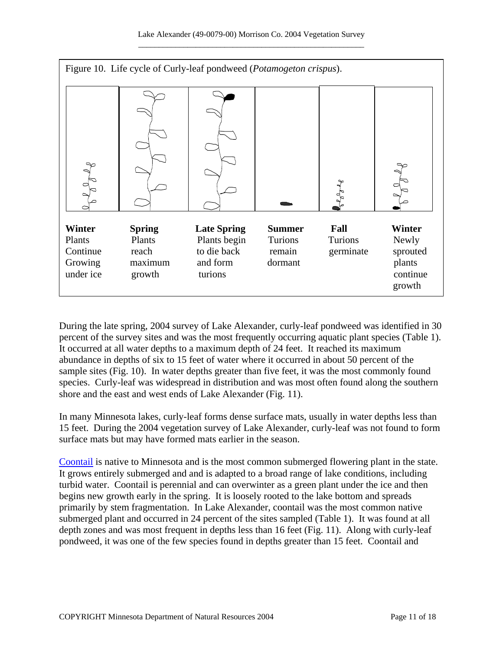

During the late spring, 2004 survey of Lake Alexander, curly-leaf pondweed was identified in 30 percent of the survey sites and was the most frequently occurring aquatic plant species (Table 1). It occurred at all water depths to a maximum depth of 24 feet. It reached its maximum abundance in depths of six to 15 feet of water where it occurred in about 50 percent of the sample sites (Fig. 10). In water depths greater than five feet, it was the most commonly found species. Curly-leaf was widespread in distribution and was most often found along the southern shore and the east and west ends of Lake Alexander (Fig. 11).

In many Minnesota lakes, curly-leaf forms dense surface mats, usually in water depths less than 15 feet. During the 2004 vegetation survey of Lake Alexander, curly-leaf was not found to form surface mats but may have formed mats earlier in the season.

[Coontail](http://www.dnr.state.mn.us/aquatic_plants/submerged_plants/coontail.html) is native to Minnesota and is the most common submerged flowering plant in the state. It grows entirely submerged and and is adapted to a broad range of lake conditions, including turbid water. Coontail is perennial and can overwinter as a green plant under the ice and then begins new growth early in the spring. It is loosely rooted to the lake bottom and spreads primarily by stem fragmentation. In Lake Alexander, coontail was the most common native submerged plant and occurred in 24 percent of the sites sampled (Table 1). It was found at all depth zones and was most frequent in depths less than 16 feet (Fig. 11). Along with curly-leaf pondweed, it was one of the few species found in depths greater than 15 feet. Coontail and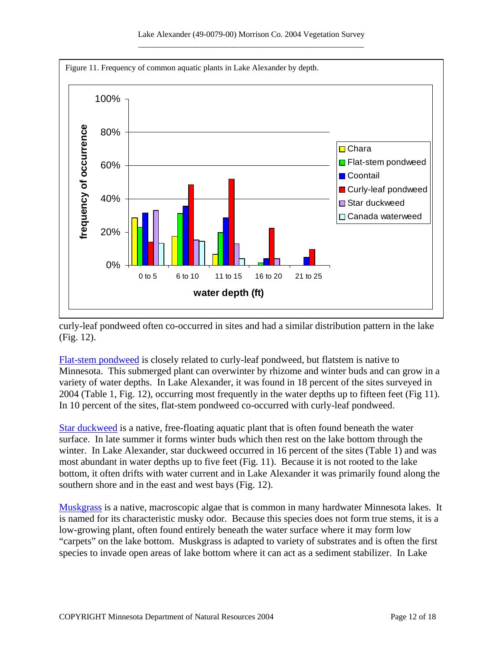

curly-leaf pondweed often co-occurred in sites and had a similar distribution pattern in the lake (Fig. 12).

[Flat-stem pondweed](http://www.dnr.state.mn.us/aquatic_plants/submerged_plants/narrowleaf_pondweeds.html) is closely related to curly-leaf pondweed, but flatstem is native to Minnesota. This submerged plant can overwinter by rhizome and winter buds and can grow in a variety of water depths. In Lake Alexander, it was found in 18 percent of the sites surveyed in 2004 (Table 1, Fig. 12), occurring most frequently in the water depths up to fifteen feet (Fig 11). In 10 percent of the sites, flat-stem pondweed co-occurred with curly-leaf pondweed.

[Star duckweed](http://www.dnr.state.mn.us/aquatic_plants/floatingleaf_plants/duckweeds.html) is a native, free-floating aquatic plant that is often found beneath the water surface. In late summer it forms winter buds which then rest on the lake bottom through the winter. In Lake Alexander, star duckweed occurred in 16 percent of the sites (Table 1) and was most abundant in water depths up to five feet (Fig. 11). Because it is not rooted to the lake bottom, it often drifts with water current and in Lake Alexander it was primarily found along the southern shore and in the east and west bays (Fig. 12).

[Muskgrass](http://www.dnr.state.mn.us/aquatic_plants/algae/chara.html) is a native, macroscopic algae that is common in many hardwater Minnesota lakes. It is named for its characteristic musky odor. Because this species does not form true stems, it is a low-growing plant, often found entirely beneath the water surface where it may form low "carpets" on the lake bottom. Muskgrass is adapted to variety of substrates and is often the first species to invade open areas of lake bottom where it can act as a sediment stabilizer. In Lake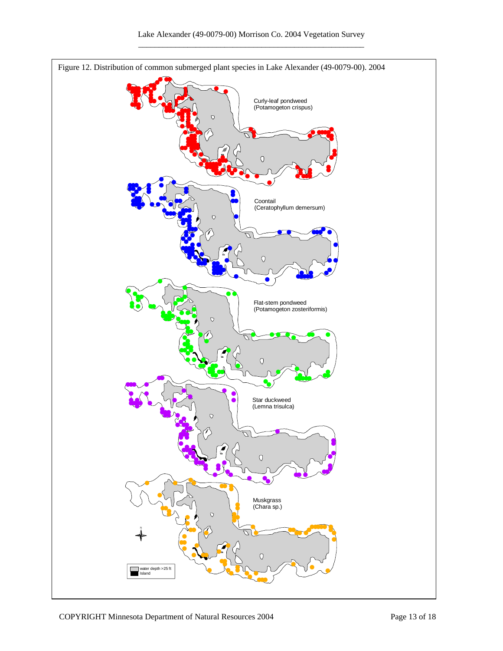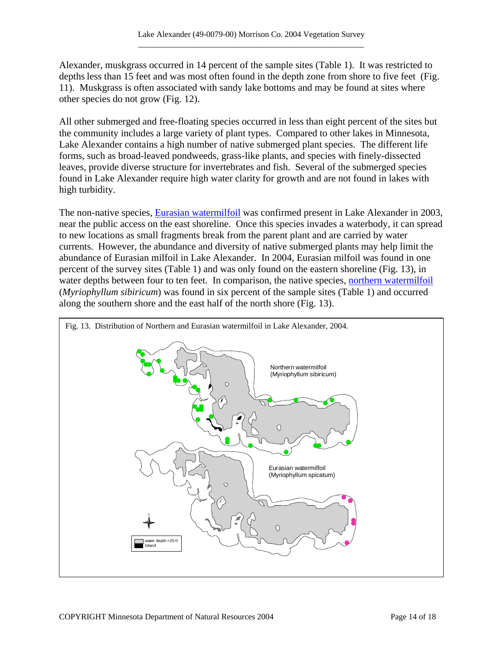Alexander, muskgrass occurred in 14 percent of the sample sites (Table 1). It was restricted to depths less than 15 feet and was most often found in the depth zone from shore to five feet (Fig. 11). Muskgrass is often associated with sandy lake bottoms and may be found at sites where other species do not grow (Fig. 12).

All other submerged and free-floating species occurred in less than eight percent of the sites but the community includes a large variety of plant types. Compared to other lakes in Minnesota, Lake Alexander contains a high number of native submerged plant species. The different life forms, such as broad-leaved pondweeds, grass-like plants, and species with finely-dissected leaves, provide diverse structure for invertebrates and fish. Several of the submerged species found in Lake Alexander require high water clarity for growth and are not found in lakes with high turbidity.

The non-native species, **Eurasian watermilfoil** was confirmed present in Lake Alexander in 2003, near the public access on the east shoreline. Once this species invades a waterbody, it can spread to new locations as small fragments break from the parent plant and are carried by water currents. However, the abundance and diversity of native submerged plants may help limit the abundance of Eurasian milfoil in Lake Alexander. In 2004, Eurasian milfoil was found in one percent of the survey sites (Table 1) and was only found on the eastern shoreline (Fig. 13), in water depths between four to ten feet. In comparison, the native species, [northern watermilfoil](http://www.dnr.state.mn.us/aquatic_plants/submerged_plants/northern_watermilfoil.html) (*Myriophyllum sibiricum*) was found in six percent of the sample sites (Table 1) and occurred along the southern shore and the east half of the north shore (Fig. 13).

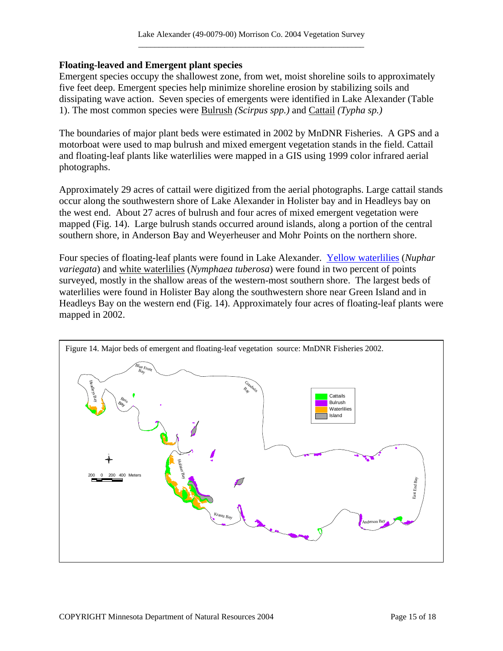### **Floating-leaved and Emergent plant species**

Emergent species occupy the shallowest zone, from wet, moist shoreline soils to approximately five feet deep. Emergent species help minimize shoreline erosion by stabilizing soils and dissipating wave action. Seven species of emergents were identified in Lake Alexander (Table 1). The most common species were [Bulrush](http://www.dnr.state.mn.us/aquatic_plants/emergent_plants/bulrushes.html) *(Scirpus spp.)* and [Cattail](http://www.dnr.state.mn.us/aquatic_plants/emergent_plants/cattails.html) *(Typha sp.)*

The boundaries of major plant beds were estimated in 2002 by MnDNR Fisheries. A GPS and a motorboat were used to map bulrush and mixed emergent vegetation stands in the field. Cattail and floating-leaf plants like waterlilies were mapped in a GIS using 1999 color infrared aerial photographs.

Approximately 29 acres of cattail were digitized from the aerial photographs. Large cattail stands occur along the southwestern shore of Lake Alexander in Holister bay and in Headleys bay on the west end. About 27 acres of bulrush and four acres of mixed emergent vegetation were mapped (Fig. 14). Large bulrush stands occurred around islands, along a portion of the central southern shore, in Anderson Bay and Weyerheuser and Mohr Points on the northern shore.

Four species of floating-leaf plants were found in Lake Alexander. [Yellow waterlilies](http://www.dnr.state.mn.us/aquatic_plants/floatingleaf_plants/spatterdock.html) (*Nuphar variegata*) and [white waterlilies](http://www.dnr.state.mn.us/aquatic_plants/floatingleaf_plants/white_water_lily.html) (*Nymphaea tuberosa*) were found in two percent of points surveyed, mostly in the shallow areas of the western-most southern shore. The largest beds of waterlilies were found in Holister Bay along the southwestern shore near Green Island and in Headleys Bay on the western end (Fig. 14). Approximately four acres of floating-leaf plants were mapped in 2002.

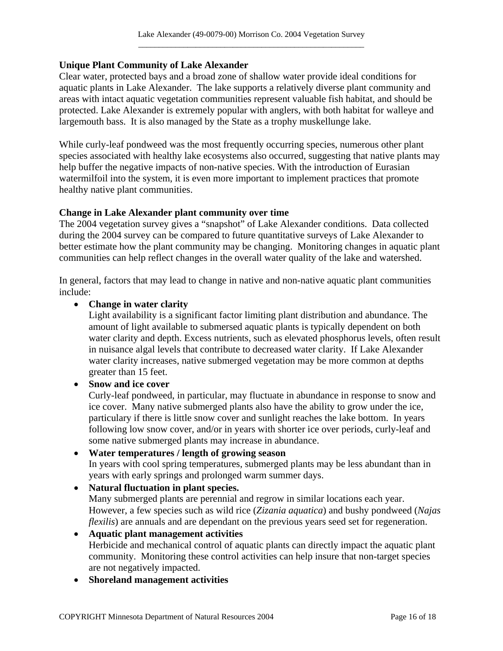## **Unique Plant Community of Lake Alexander**

Clear water, protected bays and a broad zone of shallow water provide ideal conditions for aquatic plants in Lake Alexander. The lake supports a relatively diverse plant community and areas with intact aquatic vegetation communities represent valuable fish habitat, and should be protected. Lake Alexander is extremely popular with anglers, with both habitat for walleye and largemouth bass. It is also managed by the State as a trophy muskellunge lake.

While curly-leaf pondweed was the most frequently occurring species, numerous other plant species associated with healthy lake ecosystems also occurred, suggesting that native plants may help buffer the negative impacts of non-native species. With the introduction of Eurasian watermilfoil into the system, it is even more important to implement practices that promote healthy native plant communities.

### **Change in Lake Alexander plant community over time**

The 2004 vegetation survey gives a "snapshot" of Lake Alexander conditions. Data collected during the 2004 survey can be compared to future quantitative surveys of Lake Alexander to better estimate how the plant community may be changing. Monitoring changes in aquatic plant communities can help reflect changes in the overall water quality of the lake and watershed.

In general, factors that may lead to change in native and non-native aquatic plant communities include:

### • **Change in water clarity**

Light availability is a significant factor limiting plant distribution and abundance. The amount of light available to submersed aquatic plants is typically dependent on both water clarity and depth. Excess nutrients, such as elevated phosphorus levels, often result in nuisance algal levels that contribute to decreased water clarity. If Lake Alexander water clarity increases, native submerged vegetation may be more common at depths greater than 15 feet.

#### • **Snow and ice cover**

Curly-leaf pondweed, in particular, may fluctuate in abundance in response to snow and ice cover. Many native submerged plants also have the ability to grow under the ice, particulary if there is little snow cover and sunlight reaches the lake bottom. In years following low snow cover, and/or in years with shorter ice over periods, curly-leaf and some native submerged plants may increase in abundance.

# • **Water temperatures / length of growing season**

In years with cool spring temperatures, submerged plants may be less abundant than in years with early springs and prolonged warm summer days.

## • **Natural fluctuation in plant species.**

Many submerged plants are perennial and regrow in similar locations each year. However, a few species such as wild rice (*Zizania aquatica*) and bushy pondweed (*Najas flexilis*) are annuals and are dependant on the previous years seed set for regeneration.

#### • **Aquatic plant management activities**  Herbicide and mechanical control of aquatic plants can directly impact the aquatic plant community. Monitoring these control activities can help insure that non-target species are not negatively impacted.

• **Shoreland management activities**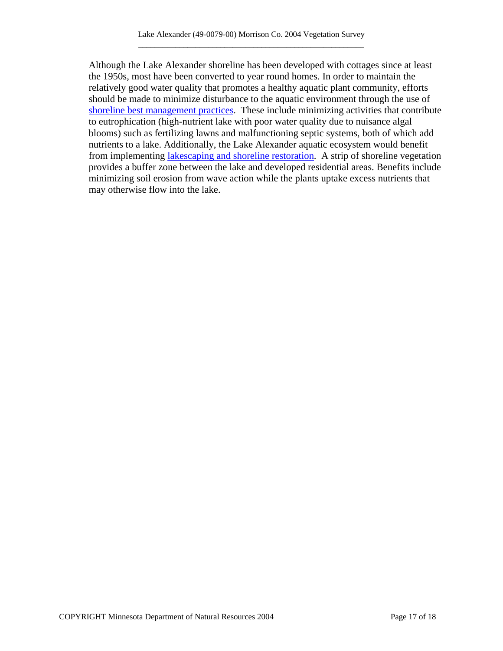Although the Lake Alexander shoreline has been developed with cottages since at least the 1950s, most have been converted to year round homes. In order to maintain the relatively good water quality that promotes a healthy aquatic plant community, efforts should be made to minimize disturbance to the aquatic environment through the use of [shoreline best management practices](http://www.dnr.state.mn.us/shorelandmgmt/guide/waterquality.html). These include minimizing activities that contribute to eutrophication (high-nutrient lake with poor water quality due to nuisance algal blooms) such as fertilizing lawns and malfunctioning septic systems, both of which add nutrients to a lake. Additionally, the Lake Alexander aquatic ecosystem would benefit from implementing [lakescaping and shoreline restoration](http://www.dnr.state.mn.us/restoreyourshore/index.html). A strip of shoreline vegetation provides a buffer zone between the lake and developed residential areas. Benefits include minimizing soil erosion from wave action while the plants uptake excess nutrients that may otherwise flow into the lake.